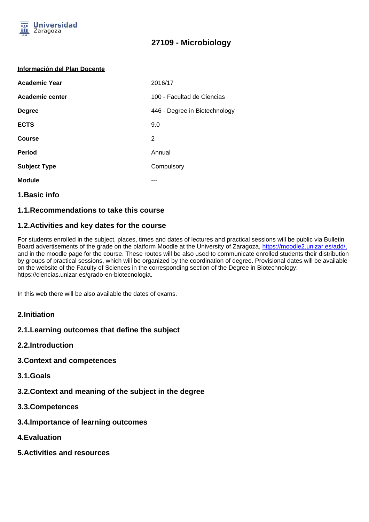

#### **Información del Plan Docente**

| <b>Academic Year</b> | 2016/17                       |
|----------------------|-------------------------------|
| Academic center      | 100 - Facultad de Ciencias    |
| <b>Degree</b>        | 446 - Degree in Biotechnology |
| <b>ECTS</b>          | 9.0                           |
| <b>Course</b>        | 2                             |
| <b>Period</b>        | Annual                        |
| <b>Subject Type</b>  | Compulsory                    |
| <b>Module</b>        |                               |
|                      |                               |

## **1.Basic info**

## **1.1.Recommendations to take this course**

## **1.2.Activities and key dates for the course**

For students enrolled in the subject, places, times and dates of lectures and practical sessions will be public via Bulletin Board advertisements of the grade on the platform Moodle at the University of Zaragoza, https://moodle2.unizar.es/add/, and in the moodle page for the course. These routes will be also used to communicate enrolled students their distribution by groups of practical sessions, which will be organized by the coordination of degree. Provisional dates will be available on the website of the Faculty of Sciences in the corresponding section of the Degree in Biotechnology: https://ciencias.unizar.es/grado-en-biotecnologia.

In this web there will be also available the dates of exams.

## **2.Initiation**

## **2.1.Learning outcomes that define the subject**

- **2.2.Introduction**
- **3.Context and competences**
- **3.1.Goals**
- **3.2.Context and meaning of the subject in the degree**
- **3.3.Competences**
- **3.4.Importance of learning outcomes**
- **4.Evaluation**
- **5.Activities and resources**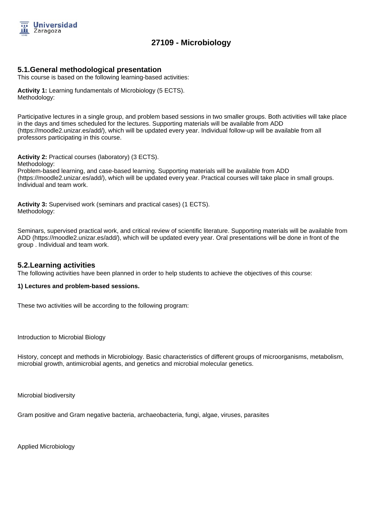

## **5.1.General methodological presentation**

This course is based on the following learning-based activities:

**Activity 1:** Learning fundamentals of Microbiology (5 ECTS). Methodology:

Participative lectures in a single group, and problem based sessions in two smaller groups. Both activities will take place in the days and times scheduled for the lectures. Supporting materials will be available from ADD (https://moodle2.unizar.es/add/), which will be updated every year. Individual follow-up will be available from all professors participating in this course.

**Activity 2:** Practical courses (laboratory) (3 ECTS).

Methodology:

Problem-based learning, and case-based learning. Supporting materials will be available from ADD (https://moodle2.unizar.es/add/), which will be updated every year. Practical courses will take place in small groups. Individual and team work.

**Activity 3:** Supervised work (seminars and practical cases) (1 ECTS). Methodology:

Seminars, supervised practical work, and critical review of scientific literature. Supporting materials will be available from ADD (https://moodle2.unizar.es/add/), which will be updated every year. Oral presentations will be done in front of the group . Individual and team work.

## **5.2.Learning activities**

The following activities have been planned in order to help students to achieve the objectives of this course:

#### **1) Lectures and problem-based sessions.**

These two activities will be according to the following program:

Introduction to Microbial Biology

History, concept and methods in Microbiology. Basic characteristics of different groups of microorganisms, metabolism, microbial growth, antimicrobial agents, and genetics and microbial molecular genetics.

Microbial biodiversity

Gram positive and Gram negative bacteria, archaeobacteria, fungi, algae, viruses, parasites

Applied Microbiology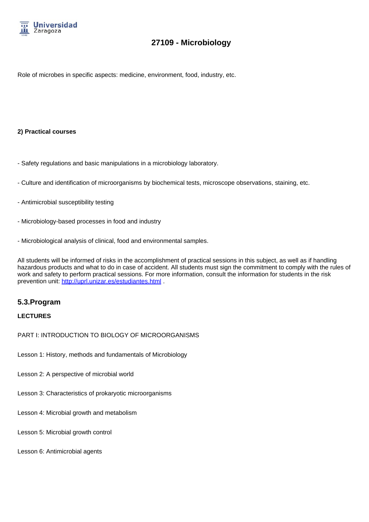

Role of microbes in specific aspects: medicine, environment, food, industry, etc.

#### **2) Practical courses**

- Safety regulations and basic manipulations in a microbiology laboratory.
- Culture and identification of microorganisms by biochemical tests, microscope observations, staining, etc.
- Antimicrobial susceptibility testing
- Microbiology-based processes in food and industry
- Microbiological analysis of clinical, food and environmental samples.

All students will be informed of risks in the accomplishment of practical sessions in this subject, as well as if handling hazardous products and what to do in case of accident. All students must sign the commitment to comply with the rules of work and safety to perform practical sessions. For more information, consult the information for students in the risk prevention unit: http://uprl.unizar.es/estudiantes.html .

## **5.3.Program**

#### **LECTURES**

#### PART I: INTRODUCTION TO BIOLOGY OF MICROORGANISMS

- Lesson 1: History, methods and fundamentals of Microbiology
- Lesson 2: A perspective of microbial world
- Lesson 3: Characteristics of prokaryotic microorganisms
- Lesson 4: Microbial growth and metabolism
- Lesson 5: Microbial growth control
- Lesson 6: Antimicrobial agents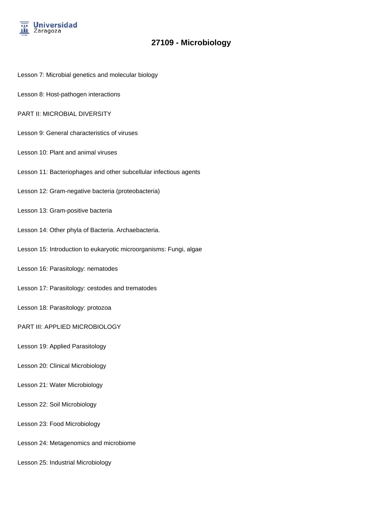

- Lesson 7: Microbial genetics and molecular biology
- Lesson 8: Host-pathogen interactions
- PART II: MICROBIAL DIVERSITY
- Lesson 9: General characteristics of viruses
- Lesson 10: Plant and animal viruses
- Lesson 11: Bacteriophages and other subcellular infectious agents
- Lesson 12: Gram-negative bacteria (proteobacteria)
- Lesson 13: Gram-positive bacteria
- Lesson 14: Other phyla of Bacteria. Archaebacteria.
- Lesson 15: Introduction to eukaryotic microorganisms: Fungi, algae
- Lesson 16: Parasitology: nematodes
- Lesson 17: Parasitology: cestodes and trematodes
- Lesson 18: Parasitology: protozoa
- PART III: APPLIED MICROBIOLOGY
- Lesson 19: Applied Parasitology
- Lesson 20: Clinical Microbiology
- Lesson 21: Water Microbiology
- Lesson 22: Soil Microbiology
- Lesson 23: Food Microbiology
- Lesson 24: Metagenomics and microbiome
- Lesson 25: Industrial Microbiology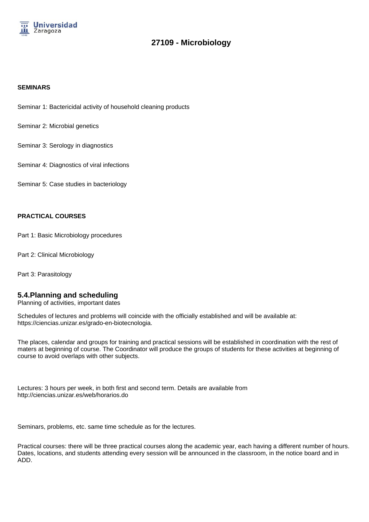

#### **SEMINARS**

Seminar 1: Bactericidal activity of household cleaning products

Seminar 2: Microbial genetics

Seminar 3: Serology in diagnostics

Seminar 4: Diagnostics of viral infections

Seminar 5: Case studies in bacteriology

#### **PRACTICAL COURSES**

Part 1: Basic Microbiology procedures

Part 2: Clinical Microbiology

Part 3: Parasitology

#### **5.4.Planning and scheduling**

Planning of activities, important dates

Schedules of lectures and problems will coincide with the officially established and will be available at: https://ciencias.unizar.es/grado-en-biotecnologia.

The places, calendar and groups for training and practical sessions will be established in coordination with the rest of maters at beginning of course. The Coordinator will produce the groups of students for these activities at beginning of course to avoid overlaps with other subjects.

Lectures: 3 hours per week, in both first and second term. Details are available from http://ciencias.unizar.es/web/horarios.do

Seminars, problems, etc. same time schedule as for the lectures.

Practical courses: there will be three practical courses along the academic year, each having a different number of hours. Dates, locations, and students attending every session will be announced in the classroom, in the notice board and in ADD.